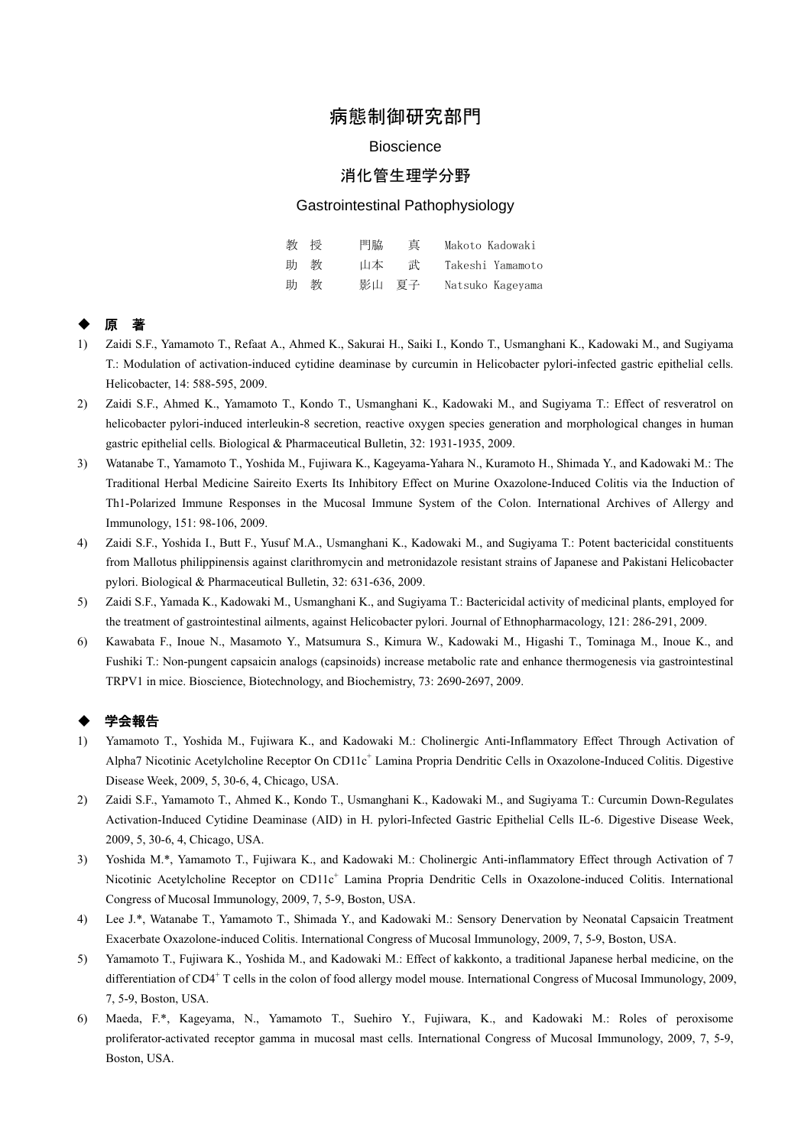# 病態制御研究部門

#### **Bioscience**

## 消化管生理学分野

#### Gastrointestinal Pathophysiology

| 教授  | 門脇    | 直 | Makoto Kadowaki  |
|-----|-------|---|------------------|
| 助 教 | 山本    | 击 | Takeshi Yamamoto |
| 助 教 | 影山 夏子 |   | Natsuko Kageyama |

### ◆ 原 著

- 1) Zaidi S.F., Yamamoto T., Refaat A., Ahmed K., Sakurai H., Saiki I., Kondo T., Usmanghani K., Kadowaki M., and Sugiyama T.: Modulation of activation-induced cytidine deaminase by curcumin in Helicobacter pylori-infected gastric epithelial cells. Helicobacter, 14: 588-595, 2009.
- 2) Zaidi S.F., Ahmed K., Yamamoto T., Kondo T., Usmanghani K., Kadowaki M., and Sugiyama T.: Effect of resveratrol on helicobacter pylori-induced interleukin-8 secretion, reactive oxygen species generation and morphological changes in human gastric epithelial cells. Biological & Pharmaceutical Bulletin, 32: 1931-1935, 2009.
- 3) Watanabe T., Yamamoto T., Yoshida M., Fujiwara K., Kageyama-Yahara N., Kuramoto H., Shimada Y., and Kadowaki M.: The Traditional Herbal Medicine Saireito Exerts Its Inhibitory Effect on Murine Oxazolone-Induced Colitis via the Induction of Th1-Polarized Immune Responses in the Mucosal Immune System of the Colon. International Archives of Allergy and Immunology, 151: 98-106, 2009.
- 4) Zaidi S.F., Yoshida I., Butt F., Yusuf M.A., Usmanghani K., Kadowaki M., and Sugiyama T.: Potent bactericidal constituents from Mallotus philippinensis against clarithromycin and metronidazole resistant strains of Japanese and Pakistani Helicobacter pylori. Biological & Pharmaceutical Bulletin, 32: 631-636, 2009.
- 5) Zaidi S.F., Yamada K., Kadowaki M., Usmanghani K., and Sugiyama T.: Bactericidal activity of medicinal plants, employed for the treatment of gastrointestinal ailments, against Helicobacter pylori. Journal of Ethnopharmacology, 121: 286-291, 2009.
- 6) Kawabata F., Inoue N., Masamoto Y., Matsumura S., Kimura W., Kadowaki M., Higashi T., Tominaga M., Inoue K., and Fushiki T.: Non-pungent capsaicin analogs (capsinoids) increase metabolic rate and enhance thermogenesis via gastrointestinal TRPV1 in mice. Bioscience, Biotechnology, and Biochemistry, 73: 2690-2697, 2009.

#### 学会報告

- 1) Yamamoto T., Yoshida M., Fujiwara K., and Kadowaki M.: Cholinergic Anti-Inflammatory Effect Through Activation of Alpha7 Nicotinic Acetylcholine Receptor On CD11c<sup>+</sup> Lamina Propria Dendritic Cells in Oxazolone-Induced Colitis. Digestive Disease Week, 2009, 5, 30-6, 4, Chicago, USA.
- 2) Zaidi S.F., Yamamoto T., Ahmed K., Kondo T., Usmanghani K., Kadowaki M., and Sugiyama T.: Curcumin Down-Regulates Activation-Induced Cytidine Deaminase (AID) in H. pylori-Infected Gastric Epithelial Cells IL-6. Digestive Disease Week, 2009, 5, 30-6, 4, Chicago, USA.
- 3) Yoshida M.\*, Yamamoto T., Fujiwara K., and Kadowaki M.: Cholinergic Anti-inflammatory Effect through Activation of 7 Nicotinic Acetylcholine Receptor on CD11c<sup>+</sup> Lamina Propria Dendritic Cells in Oxazolone-induced Colitis. International Congress of Mucosal Immunology, 2009, 7, 5-9, Boston, USA.
- 4) Lee J.\*, Watanabe T., Yamamoto T., Shimada Y., and Kadowaki M.: Sensory Denervation by Neonatal Capsaicin Treatment Exacerbate Oxazolone-induced Colitis. International Congress of Mucosal Immunology, 2009, 7, 5-9, Boston, USA.
- 5) Yamamoto T., Fujiwara K., Yoshida M., and Kadowaki M.: Effect of kakkonto, a traditional Japanese herbal medicine, on the differentiation of CD4<sup>+</sup> T cells in the colon of food allergy model mouse. International Congress of Mucosal Immunology, 2009, 7, 5-9, Boston, USA.
- 6) Maeda, F.\*, Kageyama, N., Yamamoto T., Suehiro Y., Fujiwara, K., and Kadowaki M.: Roles of peroxisome proliferator-activated receptor gamma in mucosal mast cells. International Congress of Mucosal Immunology, 2009, 7, 5-9, Boston, USA.